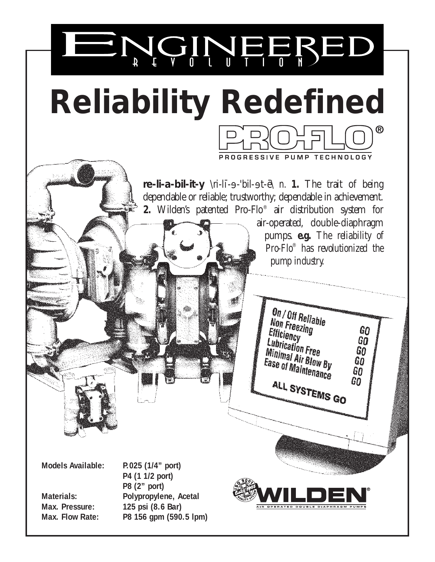